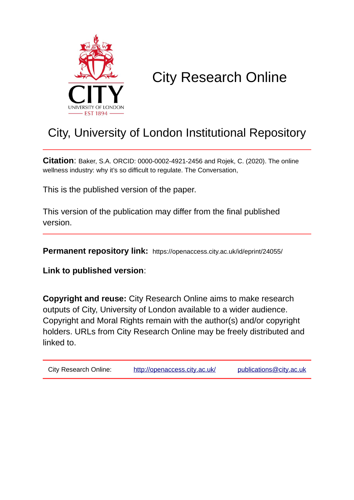

# City Research Online

## City, University of London Institutional Repository

**Citation**: Baker, S.A. ORCID: 0000-0002-4921-2456 and Rojek, C. (2020). The online wellness industry: why it's so difficult to regulate. The Conversation,

This is the published version of the paper.

This version of the publication may differ from the final published version.

**Permanent repository link:** https://openaccess.city.ac.uk/id/eprint/24055/

**Link to published version**:

**Copyright and reuse:** City Research Online aims to make research outputs of City, University of London available to a wider audience. Copyright and Moral Rights remain with the author(s) and/or copyright holders. URLs from City Research Online may be freely distributed and linked to.

| City Research Online: | http://openaccess.city.ac.uk/ | publications@city.ac.uk |
|-----------------------|-------------------------------|-------------------------|
|-----------------------|-------------------------------|-------------------------|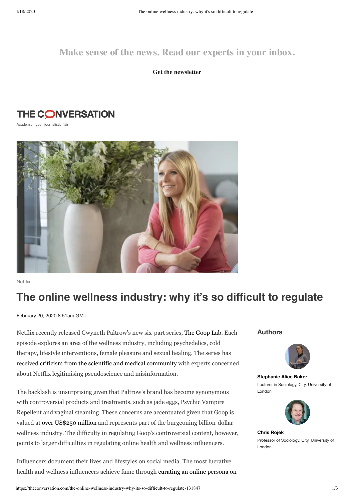### **Make sense of the news. Read our experts in your inbox.**

**Get the newsletter**

### **THE CONVERSATION**

Academic rigour, journalistic flair



Netflix

### **The online wellness industry: why it's so difficult to regulate**

February 20, 2020 8.51am GMT

Netflix recently released Gwyneth Paltrow's new six-part series, The [Goop](https://goop.com/the-goop-lab-netflix/) Lab. Each episode explores an area of the wellness industry, including psychedelics, cold therapy, lifestyle interventions, female pleasure and sexual healing. The series has received criticism from the scientific and medical [community](https://www.newscientist.com/article/2230459-goop-lab-on-netflix-shows-how-easy-it-is-to-fall-for-bad-science/) with experts concerned about Netflix legitimising pseudoscience and misinformation.

The backlash is unsurprising given that Paltrow's brand has become synonymous with controversial products and treatments, such as jade eggs, Psychic Vampire Repellent and vaginal steaming. These concerns are accentuated given that Goop is valued at over [US\\$250](https://fortune.com/2018/03/30/gwyneth-paltrow-goop-series-c-valuation-250-million/) million and represents part of the burgeoning billion-dollar wellness industry. The difficulty in regulating Goop's controversial content, however, points to larger difficulties in regulating online health and wellness influencers.

Influencers document their lives and lifestyles on social media. The most lucrative health and wellness [influencers](https://politybooks.com/bookdetail/?isbn=9781509530175&subject_id=1) achieve fame through curating an online persona on

#### **Authors**



**[Stephanie](https://theconversation.com/profiles/stephanie-alice-baker-493918) Alice Baker** Lecturer in Sociology, City, University of London



**Chris [Rojek](https://theconversation.com/profiles/chris-rojek-147669)** Professor of Sociology, City, University of London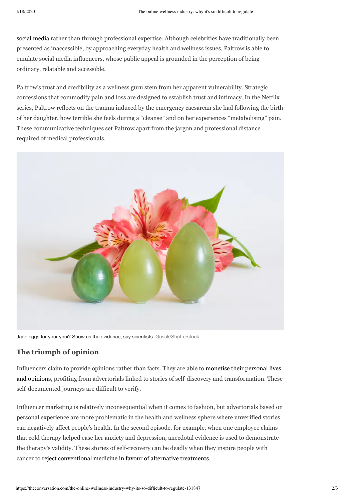social media rather than through [professional](https://politybooks.com/bookdetail/?isbn=9781509530175&subject_id=1) expertise. Although celebrities have traditionally been presented as inaccessible, by approaching everyday health and wellness issues, Paltrow is able to emulate social media influencers, whose public appeal is grounded in the perception of being ordinary, relatable and accessible.

Paltrow's trust and credibility as a wellness guru stem from her apparent vulnerability. Strategic confessions that commodify pain and loss are designed to establish trust and intimacy. In the Netflix series, Paltrow reflects on the trauma induced by the emergency caesarean she had following the birth of her daughter, how terrible she feels during a "cleanse" and on her experiences "metabolising" pain. These communicative techniques set Paltrow apart from the jargon and professional distance required of medical professionals.



Jade eggs for your yoni? Show us the evidence, say scientists. [Gusak/Shutterstock](https://www.shutterstock.com/image-photo/three-jade-eggs-development-intimate-muscles-278212919)

#### **The triumph of opinion**

Influencers claim to provide opinions rather than facts. They are able to monetise their personal lives and opinions, profiting from advertorials linked to stories of self-discovery and [transformation.](https://journals.sagepub.com/doi/abs/10.1177/1440783319846188) These self-documented journeys are difficult to verify.

Influencer marketing is relatively inconsequential when it comes to fashion, but advertorials based on personal experience are more problematic in the health and wellness sphere where unverified stories can negatively affect people's health. In the second episode, for example, when one employee claims that cold therapy helped ease her anxiety and depression, anecdotal evidence is used to demonstrate the therapy's validity. These stories of self-recovery can be deadly when they inspire people with cancer to reject [conventional](https://theconversation.com/the-scandal-that-should-force-us-to-reconsider-wellness-advice-from-influencers-117041) medicine in favour of alternative treatments.